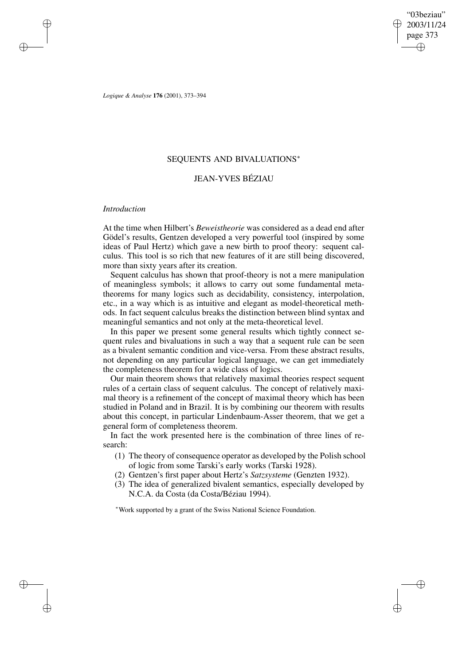"03beziau" 2003/11/24 page 373 ✐ ✐

✐

✐

*Logique & Analyse* **176** (2001), 373–394

# SEQUENTS AND BIVALUATIONS<sup>∗</sup>

# JEAN-YVES BÉZIAU

## *Introduction*

✐

✐

✐

✐

At the time when Hilbert's *Beweistheorie* was considered as a dead end after Gödel's results, Gentzen developed a very powerful tool (inspired by some ideas of Paul Hertz) which gave a new birth to proof theory: sequent calculus. This tool is so rich that new features of it are still being discovered, more than sixty years after its creation.

Sequent calculus has shown that proof-theory is not a mere manipulation of meaningless symbols; it allows to carry out some fundamental metatheorems for many logics such as decidability, consistency, interpolation, etc., in a way which is as intuitive and elegant as model-theoretical methods. In fact sequent calculus breaks the distinction between blind syntax and meaningful semantics and not only at the meta-theoretical level.

In this paper we present some general results which tightly connect sequent rules and bivaluations in such a way that a sequent rule can be seen as a bivalent semantic condition and vice-versa. From these abstract results, not depending on any particular logical language, we can get immediately the completeness theorem for a wide class of logics.

Our main theorem shows that relatively maximal theories respect sequent rules of a certain class of sequent calculus. The concept of relatively maximal theory is a refinement of the concept of maximal theory which has been studied in Poland and in Brazil. It is by combining our theorem with results about this concept, in particular Lindenbaum-Asser theorem, that we get a general form of completeness theorem.

In fact the work presented here is the combination of three lines of research:

- (1) The theory of consequence operator as developed by the Polish school of logic from some Tarski's early works (Tarski 1928).
- (2) Gentzen's first paper about Hertz's *Satzsysteme* (Genzten 1932).
- (3) The idea of generalized bivalent semantics, especially developed by N.C.A. da Costa (da Costa/Béziau 1994).

<sup>∗</sup>Work supported by a grant of the Swiss National Science Foundation.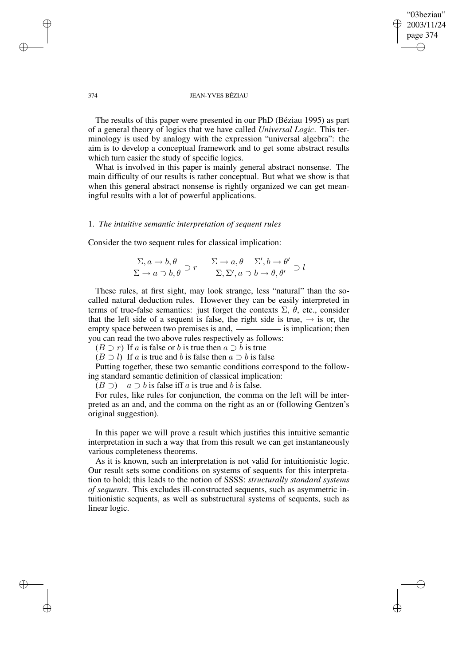## "03beziau" 2003/11/24 page 374 ✐ ✐

✐

✐

#### 374 JEAN-YVES BÉZIAU

The results of this paper were presented in our PhD (Béziau 1995) as part of a general theory of logics that we have called *Universal Logic*. This terminology is used by analogy with the expression "universal algebra": the aim is to develop a conceptual framework and to get some abstract results which turn easier the study of specific logics.

What is involved in this paper is mainly general abstract nonsense. The main difficulty of our results is rather conceptual. But what we show is that when this general abstract nonsense is rightly organized we can get meaningful results with a lot of powerful applications.

## 1. *The intuitive semantic interpretation of sequent rules*

Consider the two sequent rules for classical implication:

$$
\frac{\Sigma, a \to b, \theta}{\Sigma \to a \supset b, \theta} \supset r \qquad \frac{\Sigma \to a, \theta \qquad \Sigma', b \to \theta'}{\Sigma, \Sigma', a \supset b \to \theta, \theta'} \supset l
$$

These rules, at first sight, may look strange, less "natural" than the socalled natural deduction rules. However they can be easily interpreted in terms of true-false semantics: just forget the contexts  $\Sigma$ ,  $\theta$ , etc., consider that the left side of a sequent is false, the right side is true,  $\rightarrow$  is or, the empty space between two premises is and, <u>interlal</u> is implication; then you can read the two above rules respectively as follows:

 $(B \supset r)$  If a is false or b is true then  $a \supset b$  is true

 $(B \supset l)$  If a is true and b is false then  $a \supset b$  is false

Putting together, these two semantic conditions correspond to the following standard semantic definition of classical implication:

 $(B \supset)$  a  $\supset b$  is false iff a is true and b is false.

For rules, like rules for conjunction, the comma on the left will be interpreted as an and, and the comma on the right as an or (following Gentzen's original suggestion).

In this paper we will prove a result which justifies this intuitive semantic interpretation in such a way that from this result we can get instantaneously various completeness theorems.

As it is known, such an interpretation is not valid for intuitionistic logic. Our result sets some conditions on systems of sequents for this interpretation to hold; this leads to the notion of SSSS: *structurally standard systems of sequents*. This excludes ill-constructed sequents, such as asymmetric intuitionistic sequents, as well as substructural systems of sequents, such as linear logic.

✐

✐

✐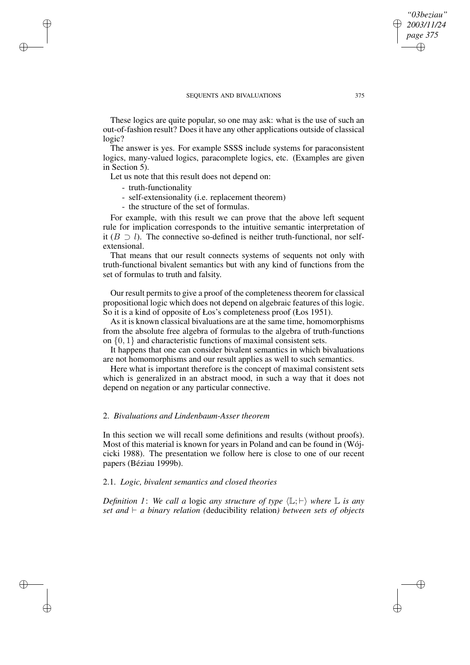These logics are quite popular, so one may ask: what is the use of such an out-of-fashion result? Does it have any other applications outside of classical logic?

The answer is yes. For example SSSS include systems for paraconsistent logics, many-valued logics, paracomplete logics, etc. (Examples are given in Section 5).

Let us note that this result does not depend on:

- truth-functionality

✐

✐

✐

✐

- self-extensionality (i.e. replacement theorem)
- the structure of the set of formulas.

For example, with this result we can prove that the above left sequent rule for implication corresponds to the intuitive semantic interpretation of it ( $B \supset l$ ). The connective so-defined is neither truth-functional, nor selfextensional.

That means that our result connects systems of sequents not only with truth-functional bivalent semantics but with any kind of functions from the set of formulas to truth and falsity.

Our result permits to give a proof of the completeness theorem for classical propositional logic which does not depend on algebraic features of this logic. So it is a kind of opposite of Łos's completeness proof (Łos 1951).

As it is known classical bivaluations are at the same time, homomorphisms from the absolute free algebra of formulas to the algebra of truth-functions on  $\{0, 1\}$  and characteristic functions of maximal consistent sets.

It happens that one can consider bivalent semantics in which bivaluations are not homomorphisms and our result applies as well to such semantics.

Here what is important therefore is the concept of maximal consistent sets which is generalized in an abstract mood, in such a way that it does not depend on negation or any particular connective.

## 2. *Bivaluations and Lindenbaum-Asser theorem*

In this section we will recall some definitions and results (without proofs). Most of this material is known for years in Poland and can be found in (Wójcicki 1988). The presentation we follow here is close to one of our recent papers (Béziau 1999b).

### 2.1. *Logic, bivalent semantics and closed theories*

*Definition* 1: We call a logic any structure of type  $\langle \mathbb{L}; \vdash \rangle$  where  $\mathbb{L}$  is any *set* and  $\vdash$  *a binary relation* (deducibility relation) *between sets of objects* 

*"03beziau" 2003/11/24 page 375*

✐

✐

✐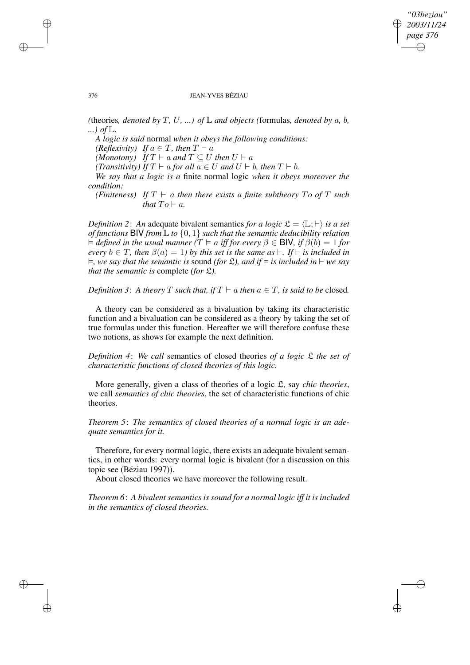*"03beziau" 2003/11/24 page 376* ✐ ✐

✐

✐

#### 376 JEAN-YVES BÉZIAU

*(*theories, *denoted by*  $T$ *,*  $U$ *, ...) of*  $\mathbb{L}$  *and objects (formulas, <i>denoted by*  $a$ *,*  $b$ *, ...) of* L*.*

*A logic is said* normal *when it obeys the following conditions:*

*(Reflexivity) If*  $a \in T$ *, then*  $T \vdash a$ 

*(Monotony) If*  $T \vdash a$  *and*  $T \subseteq U$  *then*  $U \vdash a$ 

*(Transitivity) If*  $T \vdash a$  *for all*  $a \in U$  *and*  $U \vdash b$ *, then*  $T \vdash b$ *.* 

*We say that a logic is a* finite normal logic *when it obeys moreover the condition:*

*(Finiteness)* If  $T \vdash a$  *then there exists a finite subtheory*  $To$  *of*  $T$  *such that*  $To \vdash a$ *.* 

*Definition* 2: An adequate bivalent semantics *for a logic*  $\mathcal{L} = \langle \mathbb{L}; \vdash \rangle$  *is a set of functions* BIV *from* L *to* {0, 1} *such that the semantic deducibility relation*  $\dagger$  *defined in the usual manner*  $(T \models a$  *iff for every*  $\beta \in$  **BIV***, if*  $\beta(b) = 1$  *for every*  $b \in T$ , *then*  $\beta(a) = 1$ *) by this set is the same as*  $\vdash$ . *If*  $\vdash$  *is included in*  $\models$ , we say that the semantic is sound (for  $\mathfrak{L}$ ), and if  $\models$  is included in  $\models$  we say *that the semantic is* complete *(for* L*).*

*Definition* 3: A *theory* T *such that, if*  $T \vdash a$  *then*  $a \in T$ *, is said to be* closed.

A theory can be considered as a bivaluation by taking its characteristic function and a bivaluation can be considered as a theory by taking the set of true formulas under this function. Hereafter we will therefore confuse these two notions, as shows for example the next definition.

*Definition 4*: *We call* semantics of closed theories *of a logic* L *the set of characteristic functions of closed theories of this logic.*

More generally, given a class of theories of a logic L, say *chic theories*, we call *semantics of chic theories*, the set of characteristic functions of chic theories.

*Theorem 5*: *The semantics of closed theories of a normal logic is an adequate semantics for it.*

Therefore, for every normal logic, there exists an adequate bivalent semantics, in other words: every normal logic is bivalent (for a discussion on this topic see (Béziau 1997)).

About closed theories we have moreover the following result.

*Theorem 6*: *A bivalent semantics is sound for a normal logic iff it is included in the semantics of closed theories.*

✐

✐

✐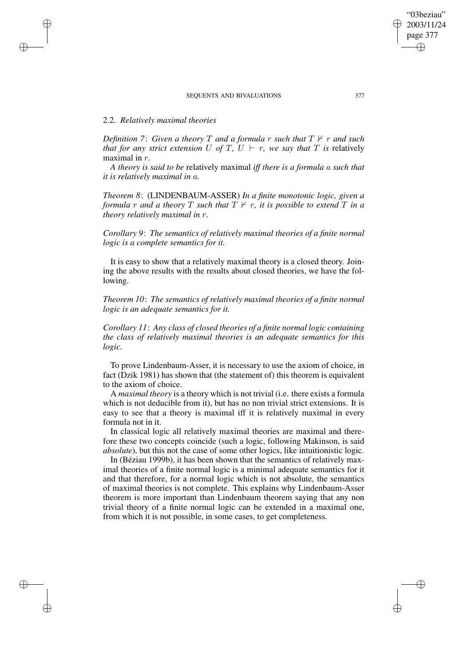# 2.2. *Relatively maximal theories*

✐

✐

✐

✐

*Definition* 7: *Given a theory T and a formula r such that*  $T \nvdash r$  *and such that for any strict extension* U *of* T,  $U \vdash r$ , *we say that* T *is* relatively maximal in r*.*

*A theory is said to be* relatively maximal *iff there is a formula* a *such that it is relatively maximal in* a*.*

*Theorem 8*: (LINDENBAUM-ASSER) *In a finite monotonic logic, given a formula r and a theory T such that*  $T \nvdash r$ *, it is possible to extend T in a theory relatively maximal in* r*.*

*Corollary 9*: *The semantics of relatively maximal theories of a finite normal logic is a complete semantics for it.*

It is easy to show that a relatively maximal theory is a closed theory. Joining the above results with the results about closed theories, we have the following.

*Theorem 10*: *The semantics of relatively maximal theories of a finite normal logic is an adequate semantics for it.*

*Corollary 11*: *Any class of closed theories of a finite normal logic containing the class of relatively maximal theories is an adequate semantics for this logic.*

To prove Lindenbaum-Asser, it is necessary to use the axiom of choice, in fact (Dzik 1981) has shown that (the statement of) this theorem is equivalent to the axiom of choice.

A *maximal theory* is a theory which is not trivial (i.e. there exists a formula which is not deducible from it), but has no non trivial strict extensions. It is easy to see that a theory is maximal iff it is relatively maximal in every formula not in it.

In classical logic all relatively maximal theories are maximal and therefore these two concepts coincide (such a logic, following Makinson, is said *absolute*), but this not the case of some other logics, like intuitionistic logic.

In (Béziau 1999b), it has been shown that the semantics of relatively maximal theories of a finite normal logic is a minimal adequate semantics for it and that therefore, for a normal logic which is not absolute, the semantics of maximal theories is not complete. This explains why Lindenbaum-Asser theorem is more important than Lindenbaum theorem saying that any non trivial theory of a finite normal logic can be extended in a maximal one, from which it is not possible, in some cases, to get completeness.

"03beziau" 2003/11/24 page 377

✐

✐

✐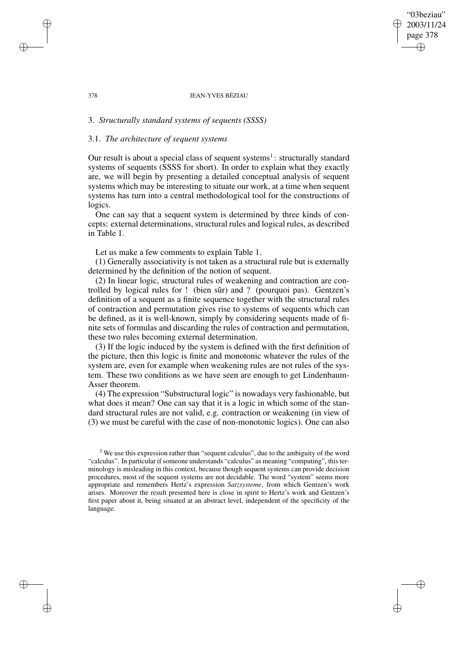## "03beziau" 2003/11/24 page 378 ✐ ✐

✐

✐

#### 378 JEAN-YVES BÉZIAU

# 3. *Structurally standard systems of sequents (SSSS)*

# 3.1. *The architecture of sequent systems*

✐

✐

✐

✐

Our result is about a special class of sequent systems<sup>1</sup>: structurally standard systems of sequents (SSSS for short). In order to explain what they exactly are, we will begin by presenting a detailed conceptual analysis of sequent systems which may be interesting to situate our work, at a time when sequent systems has turn into a central methodological tool for the constructions of logics.

One can say that a sequent system is determined by three kinds of concepts: external determinations, structural rules and logical rules, as described in Table 1.

Let us make a few comments to explain Table 1.

(1) Generally associativity is not taken as a structural rule but is externally determined by the definition of the notion of sequent.

(2) In linear logic, structural rules of weakening and contraction are controlled by logical rules for ! (bien sûr) and ? (pourquoi pas). Gentzen's definition of a sequent as a finite sequence together with the structural rules of contraction and permutation gives rise to systems of sequents which can be defined, as it is well-known, simply by considering sequents made of finite sets of formulas and discarding the rules of contraction and permutation, these two rules becoming external determination.

(3) If the logic induced by the system is defined with the first definition of the picture, then this logic is finite and monotonic whatever the rules of the system are, even for example when weakening rules are not rules of the system. These two conditions as we have seen are enough to get Lindenbaum-Asser theorem.

(4) The expression "Substructural logic" is nowadays very fashionable, but what does it mean? One can say that it is a logic in which some of the standard structural rules are not valid, e.g. contraction or weakening (in view of (3) we must be careful with the case of non-monotonic logics). One can also

<sup>&</sup>lt;sup>1</sup> We use this expression rather than "sequent calculus", due to the ambiguity of the word "calculus". In particular if someone understands "calculus" as meaning "computing", this terminology is misleading in this context, because though sequent systems can provide decision procedures, most of the sequent systems are not decidable. The word "system" seems more appropriate and remembers Hertz's expression *Satzsysteme*, from which Gentzen's work arises. Moreover the result presented here is close in spirit to Hertz's work and Gentzen's first paper about it, being situated at an abstract level, independent of the specificity of the language.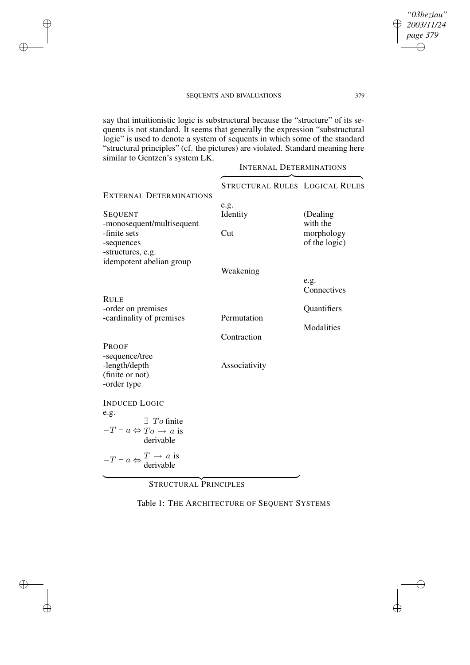✐

✐

✐

✐

say that intuitionistic logic is substructural because the "structure" of its sequents is not standard. It seems that generally the expression "substructural logic" is used to denote a system of sequents in which some of the standard "structural principles" (cf. the pictures) are violated. Standard meaning here similar to Gentzen's system LK.

INTERNAL DETERMINATIONS  $\overbrace{\phantom{aaaaa}}^{x}$ STRUCTURAL RULES LOGICAL RULES EXTERNAL DETERMINATIONS e.g. SEQUENT Identity (Dealing -monosequent/multisequent with the -finite sets Cut morphology -sequences of the logic) -structures, e.g. idempotent abelian group Weakening e.g. **Connectives** RULE -order on premises Cuantifiers<br>
cardinality of premises Permutation -cardinality of premises Modalities Contraction PROOF -sequence/tree -length/depth Associativity (finite or not) -order type INDUCED LOGIC e.g.  $-T \vdash a \Leftrightarrow To \rightarrow a$  is ∃ To finite derivable  $-T \vdash a \Leftrightarrow^T \rightarrow a$  is<br>derivable  $\overbrace{\hspace{2.5cm}}^{\hspace{2.5cm}}$ 

STRUCTURAL PRINCIPLES

Table 1: THE ARCHITECTURE OF SEQUENT SYSTEMS

*"03beziau" 2003/11/24 page 379*

✐

✐

✐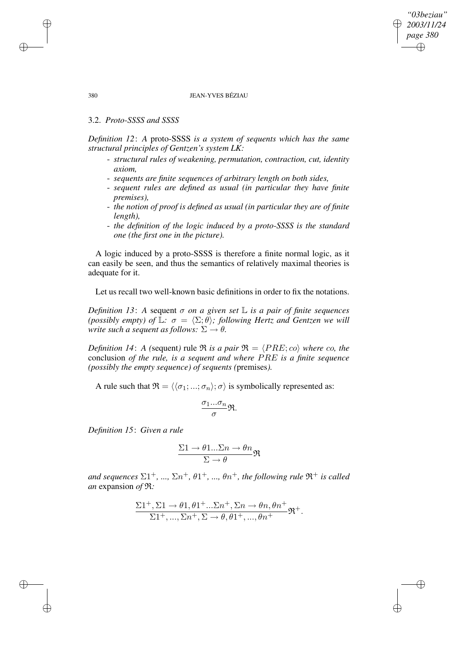# *"03beziau" 2003/11/24 page 380* ✐ ✐

✐

✐

## 380 JEAN-YVES BÉZIAU

# 3.2. *Proto-SSSS and SSSS*

*Definition 12*: *A* proto-SSSS *is a system of sequents which has the same structural principles of Gentzen's system LK:*

- *structural rules of weakening, permutation, contraction, cut, identity axiom,*
- *sequents are finite sequences of arbitrary length on both sides,*
- *sequent rules are defined as usual (in particular they have finite premises),*
- *the notion of proof is defined as usual (in particular they are of finite length),*
- *the definition of the logic induced by a proto-SSSS is the standard one (the first one in the picture).*

A logic induced by a proto-SSSS is therefore a finite normal logic, as it can easily be seen, and thus the semantics of relatively maximal theories is adequate for it.

Let us recall two well-known basic definitions in order to fix the notations.

*Definition* 13: A sequent  $\sigma$  *on a* given set  $\mathbb{L}$  *is a pair of finite sequences (possibly empty) of*  $\mathbb{L}$ *:*  $\sigma = \langle \Sigma; \theta \rangle$ *; following Hertz and Gentzen we will write such a sequent as follows:*  $\Sigma \rightarrow \theta$ *.* 

*Definition* 14: *A* (sequent) rule  $\Re$  *is a pair*  $\Re = \langle PRE; c_o \rangle$  *where co, the* conclusion *of the rule, is a sequent and where* PRE *is a finite sequence (possibly the empty sequence) of sequents (*premises*).*

A rule such that  $\mathfrak{R} = \langle \langle \sigma_1; \ldots; \sigma_n \rangle; \sigma \rangle$  is symbolically represented as:

$$
\frac{\sigma_1...\sigma_n}{\sigma}\mathfrak{R}.
$$

*Definition 15*: *Given a rule*

$$
\frac{\Sigma 1 \to \theta 1...\Sigma n \to \theta n}{\Sigma \to \theta} \mathfrak{R}
$$

 $and$  *sequences*  $\Sigma1^{+}$ , *...,*  $\Sigma n^{+}$ ,  $\theta1^{+}$ , *...,*  $\theta n^{+}$ , *the following rule*  $\mathfrak{R}^{+}$  *is called an* expansion *of* R*:*

$$
\frac{\Sigma 1^+, \Sigma 1 \to \theta 1, \theta 1^+ ... \Sigma n^+, \Sigma n \to \theta n, \theta n^+}{\Sigma 1^+, ..., \Sigma n^+, \Sigma \to \theta, \theta 1^+, ..., \theta n^+} \mathfrak{R}^+.
$$

✐

✐

✐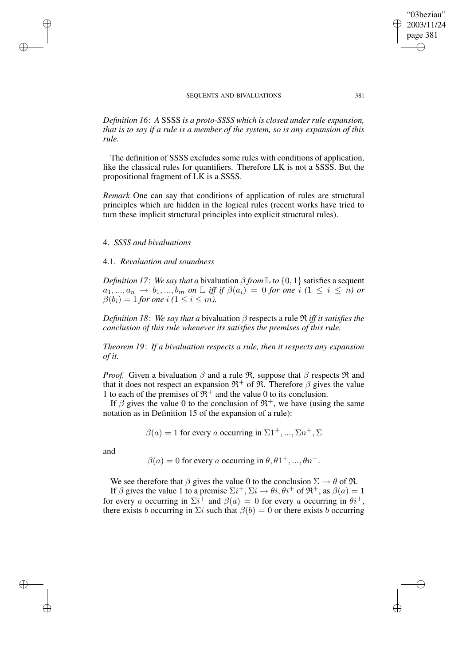*Definition 16*: *A* SSSS *is a proto-SSSS which is closed under rule expansion, that is to say if a rule is a member of the system, so is any expansion of this rule.*

The definition of SSSS excludes some rules with conditions of application, like the classical rules for quantifiers. Therefore LK is not a SSSS. But the propositional fragment of LK is a SSSS.

*Remark* One can say that conditions of application of rules are structural principles which are hidden in the logical rules (recent works have tried to turn these implicit structural principles into explicit structural rules).

## 4. *SSSS and bivaluations*

✐

✐

✐

✐

# 4.1. *Revaluation and soundness*

*Definition 17: We say that a bivaluation*  $\beta$  *<i>from*  $\mathbb{L}$  *to*  $\{0, 1\}$  satisfies a sequent  $a_1, ..., a_n \rightarrow b_1, ..., b_m$  on L iff if  $\beta(a_i) = 0$  for one i  $(1 \leq i \leq n)$  or  $\beta(b_i) = 1$  *for one i*  $(1 \le i \le m)$ .

*Definition* 18: *We say that a* bivaluation  $\beta$  respects a rule  $\Re$  *iff it satisfies the conclusion of this rule whenever its satisfies the premises of this rule.*

*Theorem 19*: *If a bivaluation respects a rule, then it respects any expansion of it.*

*Proof.* Given a bivaluation  $\beta$  and a rule  $\Re$ , suppose that  $\beta$  respects  $\Re$  and that it does not respect an expansion  $\mathfrak{R}^+$  of  $\mathfrak{R}$ . Therefore  $\beta$  gives the value 1 to each of the premises of  $\mathbb{R}^+$  and the value 0 to its conclusion.

If  $\beta$  gives the value 0 to the conclusion of  $\mathfrak{R}^+$ , we have (using the same notation as in Definition 15 of the expansion of a rule):

$$
\beta(a) = 1
$$
 for every *a* occurring in  $\Sigma 1^+, ..., \Sigma n^+, \Sigma$ 

and

 $\beta(a) = 0$  for every a occurring in  $\theta$ ,  $\theta$ 1<sup>+</sup>, ...,  $\theta$ n<sup>+</sup>.

We see therefore that  $\beta$  gives the value 0 to the conclusion  $\Sigma \rightarrow \theta$  of  $\Re$ .

If  $\beta$  gives the value 1 to a premise  $\Sigma i^+, \Sigma i \rightarrow \theta i, \theta i^+$  of  $\Re^+,$  as  $\beta(a) = 1$ for every a occurring in  $\Sigma i^+$  and  $\beta(a) = 0$  for every a occurring in  $\theta i^+$ , there exists b occurring in  $\Sigma i$  such that  $\beta(b) = 0$  or there exists b occurring

"03beziau" 2003/11/24 page 381

✐

✐

✐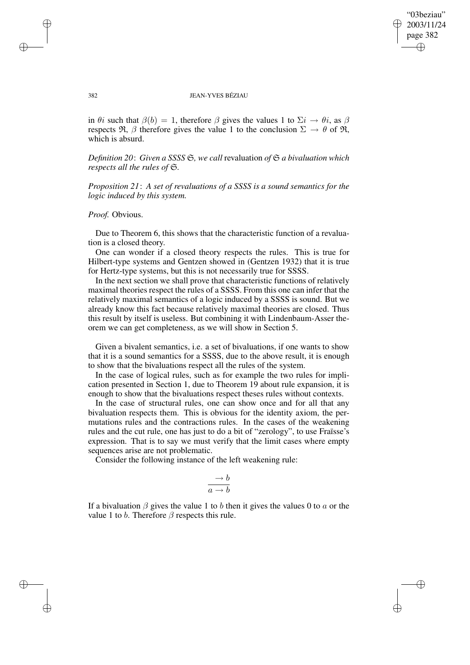✐

✐

#### 382 JEAN-YVES BÉZIAU

in  $\theta i$  such that  $\beta(b) = 1$ , therefore  $\beta$  gives the values 1 to  $\Sigma i \rightarrow \theta i$ , as  $\beta$ respects  $\Re$ ,  $\beta$  therefore gives the value 1 to the conclusion  $\Sigma \rightarrow \theta$  of  $\Re$ , which is absurd.

*Definition 20*: *Given a SSSS* S*, we call* revaluation *of* S *a bivaluation which respects all the rules of* S*.*

*Proposition 21*: *A set of revaluations of a SSSS is a sound semantics for the logic induced by this system.*

*Proof.* Obvious.

Due to Theorem 6, this shows that the characteristic function of a revaluation is a closed theory.

One can wonder if a closed theory respects the rules. This is true for Hilbert-type systems and Gentzen showed in (Gentzen 1932) that it is true for Hertz-type systems, but this is not necessarily true for SSSS.

In the next section we shall prove that characteristic functions of relatively maximal theories respect the rules of a SSSS. From this one can infer that the relatively maximal semantics of a logic induced by a SSSS is sound. But we already know this fact because relatively maximal theories are closed. Thus this result by itself is useless. But combining it with Lindenbaum-Asser theorem we can get completeness, as we will show in Section 5.

Given a bivalent semantics, i.e. a set of bivaluations, if one wants to show that it is a sound semantics for a SSSS, due to the above result, it is enough to show that the bivaluations respect all the rules of the system.

In the case of logical rules, such as for example the two rules for implication presented in Section 1, due to Theorem 19 about rule expansion, it is enough to show that the bivaluations respect theses rules without contexts.

In the case of structural rules, one can show once and for all that any bivaluation respects them. This is obvious for the identity axiom, the permutations rules and the contractions rules. In the cases of the weakening rules and the cut rule, one has just to do a bit of "zerology", to use Fraïsse's expression. That is to say we must verify that the limit cases where empty sequences arise are not problematic.

Consider the following instance of the left weakening rule:

$$
\frac{\rightarrow b}{a \rightarrow b}
$$

If a bivaluation  $\beta$  gives the value 1 to b then it gives the values 0 to a or the value 1 to b. Therefore  $\beta$  respects this rule.

✐

✐

✐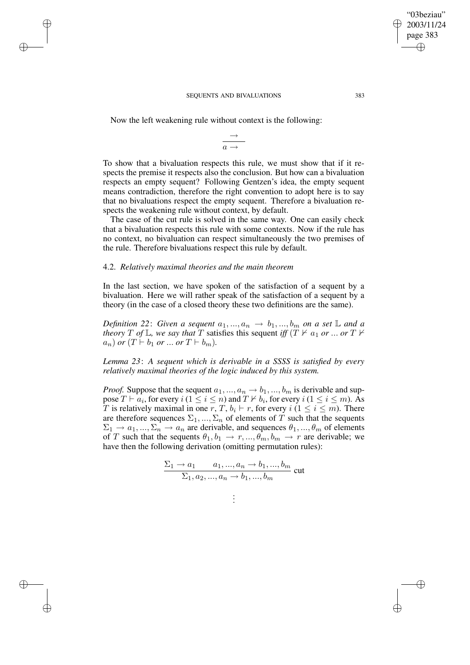Now the left weakening rule without context is the following:

✐

✐

✐

✐

 $\rightarrow$  $a \rightarrow$ 

To show that a bivaluation respects this rule, we must show that if it respects the premise it respects also the conclusion. But how can a bivaluation respects an empty sequent? Following Gentzen's idea, the empty sequent means contradiction, therefore the right convention to adopt here is to say that no bivaluations respect the empty sequent. Therefore a bivaluation respects the weakening rule without context, by default.

The case of the cut rule is solved in the same way. One can easily check that a bivaluation respects this rule with some contexts. Now if the rule has no context, no bivaluation can respect simultaneously the two premises of the rule. Therefore bivaluations respect this rule by default.

## 4.2. *Relatively maximal theories and the main theorem*

In the last section, we have spoken of the satisfaction of a sequent by a bivaluation. Here we will rather speak of the satisfaction of a sequent by a theory (in the case of a closed theory these two definitions are the same).

*Definition* 22: *Given a sequent*  $a_1, ..., a_n \rightarrow b_1, ..., b_m$  *on a set*  $\mathbb{L}$  *and a theory*  $T$  *of*  $\mathbb{L}$ *, we say that*  $T$  satisfies this sequent *iff*  $(T \nvdash a_1$  *or* ... *or*  $T \nvdash a_1$  $a_n)$  *or*  $(T \vdash b_1$  *or* ... *or*  $T \vdash b_m)$ .

*Lemma 23*: *A sequent which is derivable in a SSSS is satisfied by every relatively maximal theories of the logic induced by this system.*

*Proof.* Suppose that the sequent  $a_1, ..., a_n \rightarrow b_1, ..., b_m$  is derivable and suppose  $T \vdash a_i$ , for every  $i$   $(1 \leq i \leq n)$  and  $T \nvdash b_i$ , for every  $i$   $(1 \leq i \leq m)$ . As T is relatively maximal in one r, T,  $b_i \vdash r$ , for every  $i$  ( $1 \le i \le m$ ). There are therefore sequences  $\Sigma_1, ..., \Sigma_n$  of elements of T such that the sequents  $\Sigma_1 \to a_1, ..., \Sigma_n \to a_n$  are derivable, and sequences  $\theta_1, ..., \theta_m$  of elements of T such that the sequents  $\theta_1, b_1 \rightarrow r, ..., \theta_m, b_m \rightarrow r$  are derivable; we have then the following derivation (omitting permutation rules):

$$
\frac{\Sigma_1 \to a_1 \quad a_1, ..., a_n \to b_1, ..., b_m}{\Sigma_1, a_2, ..., a_n \to b_1, ..., b_m}
$$
 cut

| ÷ |
|---|
| ÷ |
| ÷ |

"03beziau" 2003/11/24 page 383

✐

✐

✐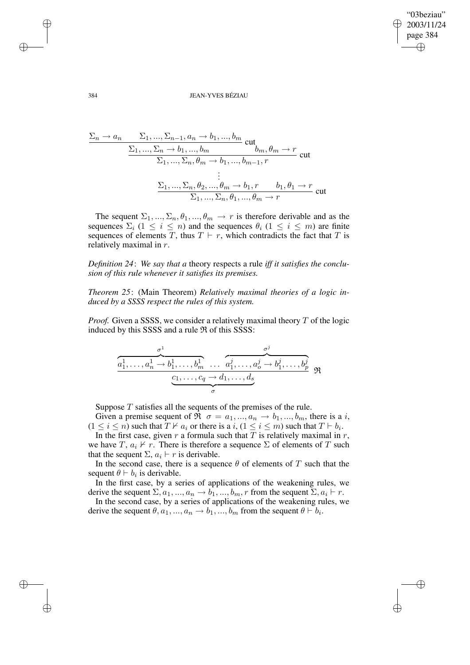✐

✐

384 JEAN-YVES BÉZIAU

$$
\frac{\Sigma_n \to a_n \qquad \Sigma_1, ..., \Sigma_{n-1}, a_n \to b_1, ..., b_m}{\Sigma_1, ..., \Sigma_n \to b_1, ..., b_m} \text{ cut}_{b_m, \theta_m \to r} \text{ cut}
$$
\n
$$
\vdots
$$
\n
$$
\frac{\Sigma_1, ..., \Sigma_n, \theta_m \to b_1, ..., b_{m-1}, r}{\Sigma_1, ..., \Sigma_n, \theta_2, ..., \theta_m \to b_1, r \qquad b_1, \theta_1 \to r} \text{ cut}
$$

The sequent  $\Sigma_1, ..., \Sigma_n, \theta_1, ..., \theta_m \rightarrow r$  is therefore derivable and as the sequences  $\Sigma_i$  ( $1 \leq i \leq n$ ) and the sequences  $\theta_i$  ( $1 \leq i \leq m$ ) are finite sequences of elements T, thus  $T \vdash r$ , which contradicts the fact that T is relatively maximal in r.

*Definition 24*: *We say that a* theory respects a rule *iff it satisfies the conclusion of this rule whenever it satisfies its premises.*

*Theorem 25*: (Main Theorem) *Relatively maximal theories of a logic induced by a SSSS respect the rules of this system.*

*Proof.* Given a SSSS, we consider a relatively maximal theory T of the logic induced by this SSSS and a rule  $\Re$  of this SSSS:

$$
\underbrace{\overbrace{a_1^1,\ldots,a_n^1 \to b_1^1,\ldots,b_m^1}^{\sigma^1} \ldots \overbrace{a_1^j,\ldots,a_o^j \to b_1^j,\ldots,b_p^j}_{\sigma}^{\sigma^j}}_{\sigma} \mathfrak{R}
$$

Suppose  $T$  satisfies all the sequents of the premises of the rule.

Given a premise sequent of  $\Re \sigma = a_1, ..., a_n \rightarrow b_1, ..., b_m$ , there is a *i*,  $(1 \le i \le n)$  such that  $T \nvdash a_i$  or there is a  $i, (1 \le i \le m)$  such that  $T \vdash b_i$ .

In the first case, given  $r$  a formula such that  $T$  is relatively maximal in  $r$ , we have T,  $a_i \nvdash r$ . There is therefore a sequence  $\Sigma$  of elements of T such that the sequent  $\Sigma$ ,  $a_i \vdash r$  is derivable.

In the second case, there is a sequence  $\theta$  of elements of T such that the sequent  $\theta \vdash b_i$  is derivable.

In the first case, by a series of applications of the weakening rules, we derive the sequent  $\Sigma, a_1, ..., a_n \to b_1, ..., b_m, r$  from the sequent  $\Sigma, a_i \vdash r$ .

In the second case, by a series of applications of the weakening rules, we derive the sequent  $\theta$ ,  $a_1, ..., a_n \rightarrow b_1, ..., b_m$  from the sequent  $\theta \vdash b_i$ .

✐

✐

✐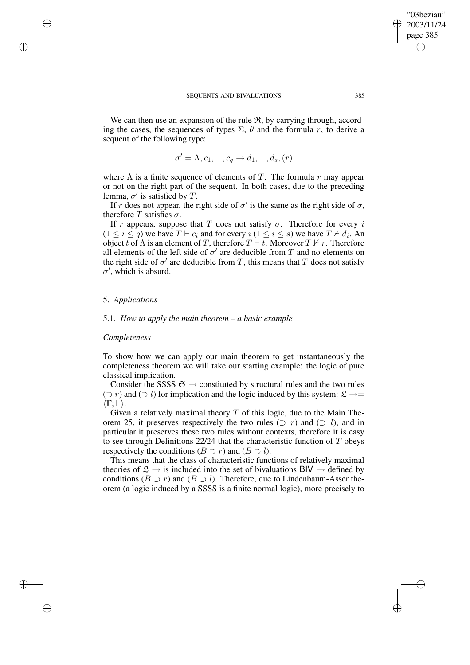We can then use an expansion of the rule  $\mathfrak{R}$ , by carrying through, according the cases, the sequences of types  $\Sigma$ ,  $\theta$  and the formula r, to derive a sequent of the following type:

$$
\sigma' = \Lambda, c_1, ..., c_q \rightarrow d_1, ..., d_s, (r)
$$

where  $\Lambda$  is a finite sequence of elements of T. The formula r may appear or not on the right part of the sequent. In both cases, due to the preceding lemma,  $\sigma'$  is satisfied by T.

If r does not appear, the right side of  $\sigma'$  is the same as the right side of  $\sigma$ , therefore T satisfies  $\sigma$ .

If r appears, suppose that T does not satisfy  $\sigma$ . Therefore for every i  $(1 \le i \le q)$  we have  $T \vdash c_i$  and for every  $i$   $(1 \le i \le s)$  we have  $T \not\vdash d_i$ . An object t of  $\Lambda$  is an element of T, therefore  $T \vdash t$ . Moreover  $T \nvdash r$ . Therefore all elements of the left side of  $\sigma'$  are deducible from T and no elements on the right side of  $\sigma'$  are deducible from T, this means that T does not satisfy  $\sigma'$ , which is absurd.

## 5. *Applications*

✐

✐

✐

✐

## 5.1. *How to apply the main theorem – a basic example*

#### *Completeness*

To show how we can apply our main theorem to get instantaneously the completeness theorem we will take our starting example: the logic of pure classical implication.

Consider the SSSS  $\mathfrak{S} \rightarrow$  constituted by structural rules and the two rules ( $\supset$  r) and ( $\supset$  l) for implication and the logic induced by this system: £ →=  $\langle \mathbb{F}; \vdash \rangle$ .

Given a relatively maximal theory  $T$  of this logic, due to the Main Theorem 25, it preserves respectively the two rules  $(2 r)$  and  $(2 l)$ , and in particular it preserves these two rules without contexts, therefore it is easy to see through Definitions  $22/24$  that the characteristic function of T obeys respectively the conditions  $(B \supset r)$  and  $(B \supset l)$ .

This means that the class of characteristic functions of relatively maximal theories of  $\mathfrak{L} \to$  is included into the set of bivaluations BIV  $\to$  defined by conditions ( $B \supset r$ ) and ( $B \supset l$ ). Therefore, due to Lindenbaum-Asser theorem (a logic induced by a SSSS is a finite normal logic), more precisely to

"03beziau" 2003/11/24 page 385

✐

✐

✐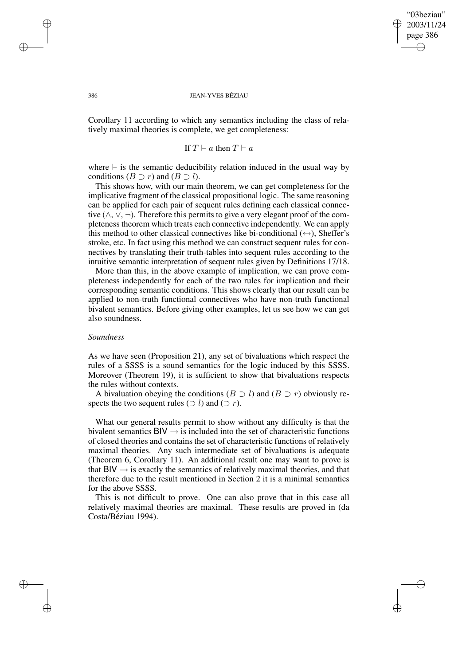"03beziau" 2003/11/24 page 386 ✐ ✐

✐

✐

#### 386 JEAN-YVES BÉZIAU

Corollary 11 according to which any semantics including the class of relatively maximal theories is complete, we get completeness:

If 
$$
T \models a
$$
 then  $T \vdash a$ 

where  $\equiv$  is the semantic deducibility relation induced in the usual way by conditions  $(B \supset r)$  and  $(B \supset l)$ .

This shows how, with our main theorem, we can get completeness for the implicative fragment of the classical propositional logic. The same reasoning can be applied for each pair of sequent rules defining each classical connective ( $\wedge$ ,  $\vee$ ,  $\neg$ ). Therefore this permits to give a very elegant proof of the completeness theorem which treats each connective independently. We can apply this method to other classical connectives like bi-conditional  $(\leftrightarrow)$ , Sheffer's stroke, etc. In fact using this method we can construct sequent rules for connectives by translating their truth-tables into sequent rules according to the intuitive semantic interpretation of sequent rules given by Definitions 17/18.

More than this, in the above example of implication, we can prove completeness independently for each of the two rules for implication and their corresponding semantic conditions. This shows clearly that our result can be applied to non-truth functional connectives who have non-truth functional bivalent semantics. Before giving other examples, let us see how we can get also soundness.

## *Soundness*

As we have seen (Proposition 21), any set of bivaluations which respect the rules of a SSSS is a sound semantics for the logic induced by this SSSS. Moreover (Theorem 19), it is sufficient to show that bivaluations respects the rules without contexts.

A bivaluation obeying the conditions ( $B \supset l$ ) and ( $B \supset r$ ) obviously respects the two sequent rules ( $\supset$  l) and ( $\supset$  r).

What our general results permit to show without any difficulty is that the bivalent semantics  $\text{BIV} \rightarrow \text{is included}$  into the set of characteristic functions of closed theories and contains the set of characteristic functions of relatively maximal theories. Any such intermediate set of bivaluations is adequate (Theorem 6, Corollary 11). An additional result one may want to prove is that  $BV \rightarrow$  is exactly the semantics of relatively maximal theories, and that therefore due to the result mentioned in Section 2 it is a minimal semantics for the above SSSS.

This is not difficult to prove. One can also prove that in this case all relatively maximal theories are maximal. These results are proved in (da Costa/Béziau 1994).

✐

✐

✐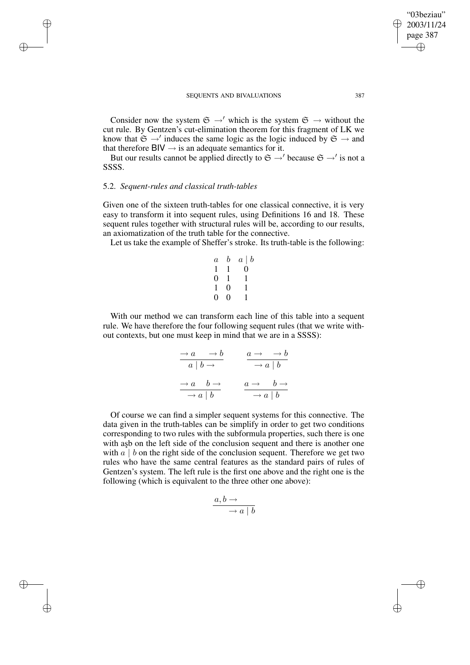Consider now the system  $\mathfrak{S} \to V$  which is the system  $\mathfrak{S} \to W$  without the cut rule. By Gentzen's cut-elimination theorem for this fragment of LK we know that  $\mathfrak{S} \to'$  induces the same logic as the logic induced by  $\mathfrak{S} \to$  and that therefore  $BV \rightarrow$  is an adequate semantics for it.

But our results cannot be applied directly to  $\mathfrak{S} \rightarrow'$  because  $\mathfrak{S} \rightarrow'$  is not a SSSS.

# 5.2. *Sequent-rules and classical truth-tables*

✐

✐

✐

✐

Given one of the sixteen truth-tables for one classical connective, it is very easy to transform it into sequent rules, using Definitions 16 and 18. These sequent rules together with structural rules will be, according to our results, an axiomatization of the truth table for the connective.

Let us take the example of Sheffer's stroke. Its truth-table is the following:

$$
\begin{array}{ccccc}\n a & b & a & b \\
 1 & 1 & 0 & 0 \\
 0 & 1 & 1 & 1 \\
 1 & 0 & 1 & 0 \\
 0 & 0 & 1 & 1\n \end{array}
$$

With our method we can transform each line of this table into a sequent rule. We have therefore the four following sequent rules (that we write without contexts, but one must keep in mind that we are in a SSSS):

$$
\begin{array}{c|c}\n\to a & \to b \\
\hline\na & b \to \\
\hline\n\to a & b \to \\
\hline\n\to a & b\n\end{array}\n\qquad\n\begin{array}{c|c}\n\hline\na \to b \to b \\
\hline\n\to a & b \to \\
\hline\n\to a & b\n\end{array}
$$

Of course we can find a simpler sequent systems for this connective. The data given in the truth-tables can be simplify in order to get two conditions corresponding to two rules with the subformula properties, such there is one with asb on the left side of the conclusion sequent and there is another one with  $a \mid b$  on the right side of the conclusion sequent. Therefore we get two rules who have the same central features as the standard pairs of rules of Gentzen's system. The left rule is the first one above and the right one is the following (which is equivalent to the three other one above):

$$
\frac{a,b \to}{\to a \mid b}
$$

"03beziau" 2003/11/24 page 387

✐

✐

✐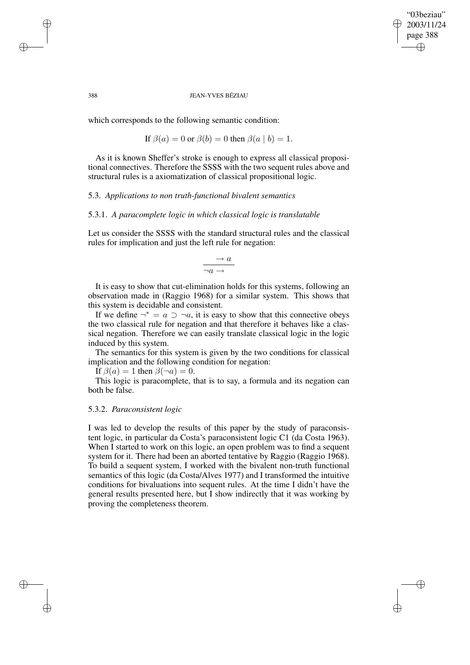✐

✐

#### 388 JEAN-YVES BÉZIAU

which corresponds to the following semantic condition:

If  $\beta(a) = 0$  or  $\beta(b) = 0$  then  $\beta(a | b) = 1$ .

As it is known Sheffer's stroke is enough to express all classical propositional connectives. Therefore the SSSS with the two sequent rules above and structural rules is a axiomatization of classical propositional logic.

# 5.3. *Applications to non truth-functional bivalent semantics*

## 5.3.1. *A paracomplete logic in which classical logic is translatable*

Let us consider the SSSS with the standard structural rules and the classical rules for implication and just the left rule for negation:

$$
\frac{\rightarrow a}{\neg a \rightarrow}
$$

It is easy to show that cut-elimination holds for this systems, following an observation made in (Raggio 1968) for a similar system. This shows that this system is decidable and consistent.

If we define  $\neg^* = a \supset \neg a$ , it is easy to show that this connective obeys the two classical rule for negation and that therefore it behaves like a classical negation. Therefore we can easily translate classical logic in the logic induced by this system.

The semantics for this system is given by the two conditions for classical implication and the following condition for negation:

If  $\beta(a) = 1$  then  $\beta(\neg a) = 0$ .

This logic is paracomplete, that is to say, a formula and its negation can both be false.

## 5.3.2. *Paraconsistent logic*

I was led to develop the results of this paper by the study of paraconsistent logic, in particular da Costa's paraconsistent logic C1 (da Costa 1963). When I started to work on this logic, an open problem was to find a sequent system for it. There had been an aborted tentative by Raggio (Raggio 1968). To build a sequent system, I worked with the bivalent non-truth functional semantics of this logic (da Costa/Alves 1977) and I transformed the intuitive conditions for bivaluations into sequent rules. At the time I didn't have the general results presented here, but I show indirectly that it was working by proving the completeness theorem.

✐

✐

✐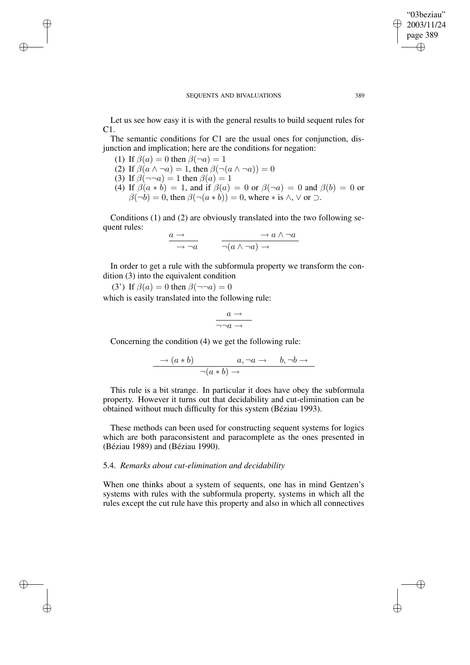Let us see how easy it is with the general results to build sequent rules for  $C1.$ 

The semantic conditions for C1 are the usual ones for conjunction, disjunction and implication; here are the conditions for negation:

(1) If  $\beta(a) = 0$  then  $\beta(\neg a) = 1$ 

✐

✐

✐

✐

- (2) If  $\beta(a \wedge \neg a) = 1$ , then  $\beta(\neg(a \wedge \neg a)) = 0$
- (3) If  $\beta(\neg \neg a) = 1$  then  $\beta(a) = 1$
- (4) If  $\beta(a * b) = 1$ , and if  $\beta(a) = 0$  or  $\beta(\neg a) = 0$  and  $\beta(b) = 0$  or  $\beta(\neg b) = 0$ , then  $\beta(\neg(a * b)) = 0$ , where  $*$  is  $\wedge$ ,  $\vee$  or  $\supset$ .

Conditions (1) and (2) are obviously translated into the two following sequent rules:

$$
\frac{a \to}{\to \neg a} \qquad \frac{\to a \land \neg a}{\neg (a \land \neg a) \to}
$$

In order to get a rule with the subformula property we transform the condition (3) into the equivalent condition

(3') If  $\beta(a) = 0$  then  $\beta(\neg \neg a) = 0$ 

which is easily translated into the following rule:

$$
\frac{a \rightarrow}{\neg \neg a \rightarrow}
$$

Concerning the condition (4) we get the following rule:

$$
\rightarrow (a * b) \qquad a, \neg a \rightarrow b, \neg b \rightarrow
$$
  

$$
\neg(a * b) \rightarrow
$$

This rule is a bit strange. In particular it does have obey the subformula property. However it turns out that decidability and cut-elimination can be obtained without much difficulty for this system (Béziau 1993).

These methods can been used for constructing sequent systems for logics which are both paraconsistent and paracomplete as the ones presented in (Béziau 1989) and (Béziau 1990).

# 5.4. *Remarks about cut-elimination and decidability*

When one thinks about a system of sequents, one has in mind Gentzen's systems with rules with the subformula property, systems in which all the rules except the cut rule have this property and also in which all connectives

"03beziau" 2003/11/24 page 389

✐

✐

✐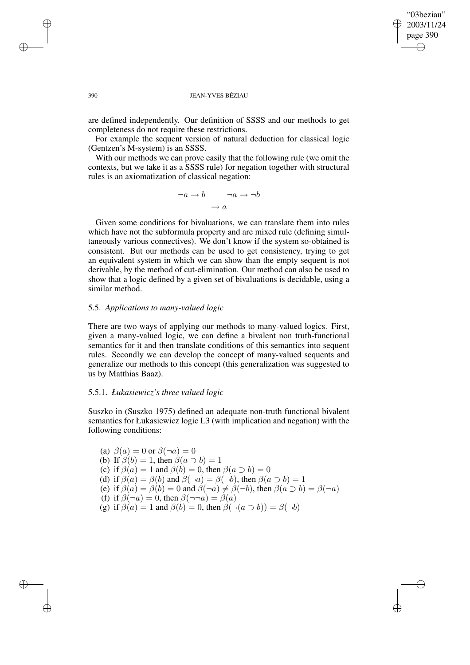✐

✐

#### 390 JEAN-YVES BÉZIAU

are defined independently. Our definition of SSSS and our methods to get completeness do not require these restrictions.

For example the sequent version of natural deduction for classical logic (Gentzen's M-system) is an SSSS.

With our methods we can prove easily that the following rule (we omit the contexts, but we take it as a SSSS rule) for negation together with structural rules is an axiomatization of classical negation:

$$
\frac{\neg a \to b \qquad \neg a \to \neg b}{\neg a \qquad \qquad }
$$

Given some conditions for bivaluations, we can translate them into rules which have not the subformula property and are mixed rule (defining simultaneously various connectives). We don't know if the system so-obtained is consistent. But our methods can be used to get consistency, trying to get an equivalent system in which we can show than the empty sequent is not derivable, by the method of cut-elimination. Our method can also be used to show that a logic defined by a given set of bivaluations is decidable, using a similar method.

## 5.5. *Applications to many-valued logic*

There are two ways of applying our methods to many-valued logics. First, given a many-valued logic, we can define a bivalent non truth-functional semantics for it and then translate conditions of this semantics into sequent rules. Secondly we can develop the concept of many-valued sequents and generalize our methods to this concept (this generalization was suggested to us by Matthias Baaz).

# 5.5.1. *Łukasiewicz's three valued logic*

Suszko in (Suszko 1975) defined an adequate non-truth functional bivalent semantics for Łukasiewicz logic L3 (with implication and negation) with the following conditions:

(a)  $\beta(a) = 0$  or  $\beta(\neg a) = 0$ (b) If  $\beta(b) = 1$ , then  $\beta(a \supset b) = 1$ (c) if  $\beta(a) = 1$  and  $\beta(b) = 0$ , then  $\beta(a \supset b) = 0$ (d) if  $\beta(a) = \beta(b)$  and  $\beta(\neg a) = \beta(\neg b)$ , then  $\beta(a \supset b) = 1$ (e) if  $\beta(a) = \beta(b) = 0$  and  $\beta(\neg a) \neq \beta(\neg b)$ , then  $\beta(a \supset b) = \beta(\neg a)$ (f) if  $\beta(\neg a) = 0$ , then  $\beta(\neg \neg a) = \beta(a)$ (g) if  $\beta(a) = 1$  and  $\beta(b) = 0$ , then  $\beta(\neg(a \supset b)) = \beta(\neg b)$ 

✐

✐

✐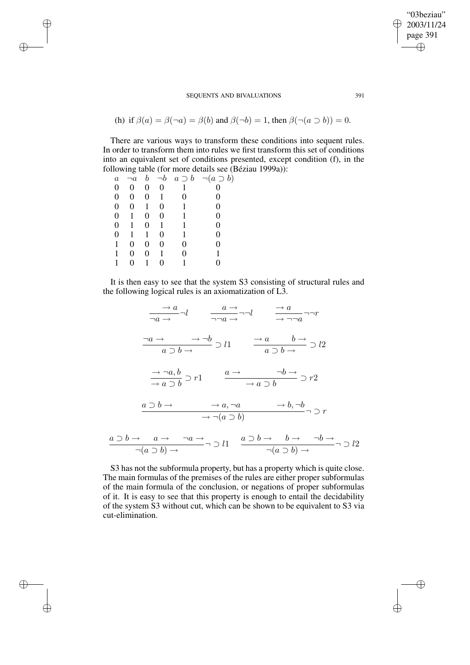(h) if 
$$
\beta(a) = \beta(\neg a) = \beta(b)
$$
 and  $\beta(\neg b) = 1$ , then  $\beta(\neg (a \supset b)) = 0$ .

There are various ways to transform these conditions into sequent rules. In order to transform them into rules we first transform this set of conditions into an equivalent set of conditions presented, except condition (f), in the following table (for more details see (Béziau 1999a)):

| $\boldsymbol{a}$ | $\neg a$ | b | $\neg b$ |   | $a \supset b \quad \neg(a \supset b)$ |
|------------------|----------|---|----------|---|---------------------------------------|
| 0                | 0        | 0 | 0        | 1 |                                       |
| 0                | 0        | 0 | 1        | 0 | 0                                     |
| 0                | 0        | 1 | 0        | 1 | 0                                     |
| 0                |          | 0 | 0        |   | 0                                     |
| 0                |          | 0 | 1        |   | 0                                     |
| 0                |          | 1 | 0        |   | 0                                     |
| 1                | 0        | 0 | 0        | 0 | 0                                     |
|                  | 0        | 0 |          | 0 |                                       |
|                  | 0        |   | 0        |   |                                       |

✐

✐

✐

✐

It is then easy to see that the system S3 consisting of structural rules and the following logical rules is an axiomatization of L3.

$$
\frac{\rightarrow a}{\neg a \rightarrow} \neg l \qquad \frac{a \rightarrow}{\neg \neg a \rightarrow} \neg l \qquad \frac{\rightarrow a}{\rightarrow} \neg \neg a \qquad \neg r
$$
\n
$$
\frac{\neg a \rightarrow}{a \rightarrow b \rightarrow} \Rightarrow l1 \qquad \frac{\rightarrow a}{a \rightarrow b \rightarrow} \Rightarrow l2
$$
\n
$$
\frac{\rightarrow \neg a, b}{\rightarrow a \rightarrow b} \Rightarrow r1 \qquad \frac{a \rightarrow}{\rightarrow a \rightarrow b} \Rightarrow r2
$$
\n
$$
\frac{a \rightarrow b \rightarrow}{\rightarrow a \rightarrow b} \Rightarrow a, \neg a \qquad \frac{\rightarrow b \rightarrow}{\rightarrow a \rightarrow b} \Rightarrow r2
$$
\n
$$
\frac{a \rightarrow b \rightarrow}{\rightarrow (a \rightarrow b)} \Rightarrow a, \neg a \qquad \frac{\rightarrow b, \neg b}{\rightarrow (a \rightarrow b)} \Rightarrow r
$$
\n
$$
\frac{a \rightarrow b \rightarrow}{\rightarrow (a \rightarrow b)} \Rightarrow l1 \qquad \frac{a \rightarrow b \rightarrow}{\rightarrow (a \rightarrow b)} \Rightarrow l2
$$

S3 has not the subformula property, but has a property which is quite close. The main formulas of the premises of the rules are either proper subformulas of the main formula of the conclusion, or negations of proper subformulas of it. It is easy to see that this property is enough to entail the decidability of the system S3 without cut, which can be shown to be equivalent to S3 via cut-elimination.

"03beziau" 2003/11/24 page 391

✐

✐

✐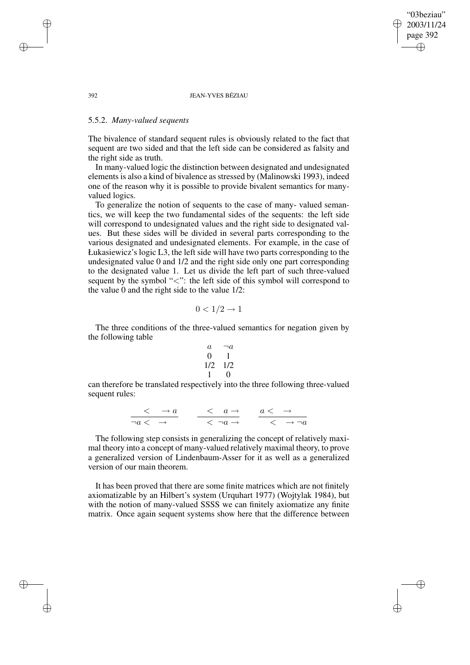"03beziau" 2003/11/24 page 392 ✐ ✐

✐

✐

#### 392 JEAN-YVES BÉZIAU

# 5.5.2. *Many-valued sequents*

The bivalence of standard sequent rules is obviously related to the fact that sequent are two sided and that the left side can be considered as falsity and the right side as truth.

In many-valued logic the distinction between designated and undesignated elements is also a kind of bivalence as stressed by (Malinowski 1993), indeed one of the reason why it is possible to provide bivalent semantics for manyvalued logics.

To generalize the notion of sequents to the case of many- valued semantics, we will keep the two fundamental sides of the sequents: the left side will correspond to undesignated values and the right side to designated values. But these sides will be divided in several parts corresponding to the various designated and undesignated elements. For example, in the case of Łukasiewicz's logic L3, the left side will have two parts corresponding to the undesignated value 0 and 1/2 and the right side only one part corresponding to the designated value 1. Let us divide the left part of such three-valued sequent by the symbol "<": the left side of this symbol will correspond to the value 0 and the right side to the value 1/2:

$$
0 < 1/2 \to 1
$$

The three conditions of the three-valued semantics for negation given by the following table

$$
\begin{array}{ccc}\n a & \neg a \\
 0 & 1 \\
 1/2 & 1/2 \\
 1 & 0\n\end{array}
$$

can therefore be translated respectively into the three following three-valued sequent rules:

$$
\frac{<\quad \to a}{\neg a \; < \; \to \;} \qquad \frac{<\quad a \to}{<\quad \neg a \to} \qquad \frac{a \; < \; \to}{\; <\quad \to \neg a}
$$

The following step consists in generalizing the concept of relatively maximal theory into a concept of many-valued relatively maximal theory, to prove a generalized version of Lindenbaum-Asser for it as well as a generalized version of our main theorem.

It has been proved that there are some finite matrices which are not finitely axiomatizable by an Hilbert's system (Urquhart 1977) (Wojtylak 1984), but with the notion of many-valued SSSS we can finitely axiomatize any finite matrix. Once again sequent systems show here that the difference between

✐

✐

✐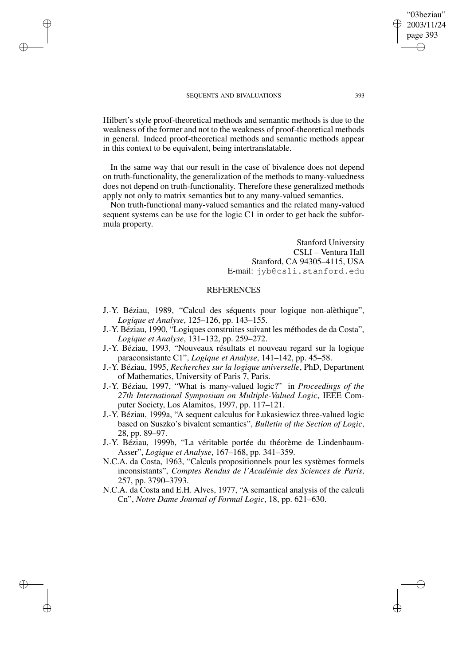✐

✐

✐

✐

Hilbert's style proof-theoretical methods and semantic methods is due to the weakness of the former and not to the weakness of proof-theoretical methods in general. Indeed proof-theoretical methods and semantic methods appear in this context to be equivalent, being intertranslatable.

In the same way that our result in the case of bivalence does not depend on truth-functionality, the generalization of the methods to many-valuedness does not depend on truth-functionality. Therefore these generalized methods apply not only to matrix semantics but to any many-valued semantics.

Non truth-functional many-valued semantics and the related many-valued sequent systems can be use for the logic C1 in order to get back the subformula property.

> Stanford University CSLI – Ventura Hall Stanford, CA 94305–4115, USA E-mail: jyb@csli.stanford.edu

# **REFERENCES**

- J.-Y. Béziau, 1989, "Calcul des séquents pour logique non-alèthique", *Logique et Analyse*, 125–126, pp. 143–155.
- J.-Y. Béziau, 1990, "Logiques construites suivant les méthodes de da Costa", *Logique et Analyse*, 131–132, pp. 259–272.
- J.-Y. Béziau, 1993, "Nouveaux résultats et nouveau regard sur la logique paraconsistante C1", *Logique et Analyse*, 141–142, pp. 45–58.
- J.-Y. Béziau, 1995, *Recherches sur la logique universelle*, PhD, Department of Mathematics, University of Paris 7, Paris.
- J.-Y. Béziau, 1997, "What is many-valued logic?" in *Proceedings of the 27th International Symposium on Multiple-Valued Logic*, IEEE Computer Society, Los Alamitos, 1997, pp. 117–121.
- J.-Y. Béziau, 1999a, "A sequent calculus for Łukasiewicz three-valued logic based on Suszko's bivalent semantics", *Bulletin of the Section of Logic*, 28, pp. 89–97.
- J.-Y. Béziau, 1999b, "La véritable portée du théorème de Lindenbaum-Asser", *Logique et Analyse*, 167–168, pp. 341–359.
- N.C.A. da Costa, 1963, "Calculs propositionnels pour les systèmes formels inconsistants", *Comptes Rendus de l'Académie des Sciences de Paris*, 257, pp. 3790–3793.
- N.C.A. da Costa and E.H. Alves, 1977, "A semantical analysis of the calculi Cn", *Notre Dame Journal of Formal Logic*, 18, pp. 621–630.

"03beziau" 2003/11/24 page 393

✐

✐

✐